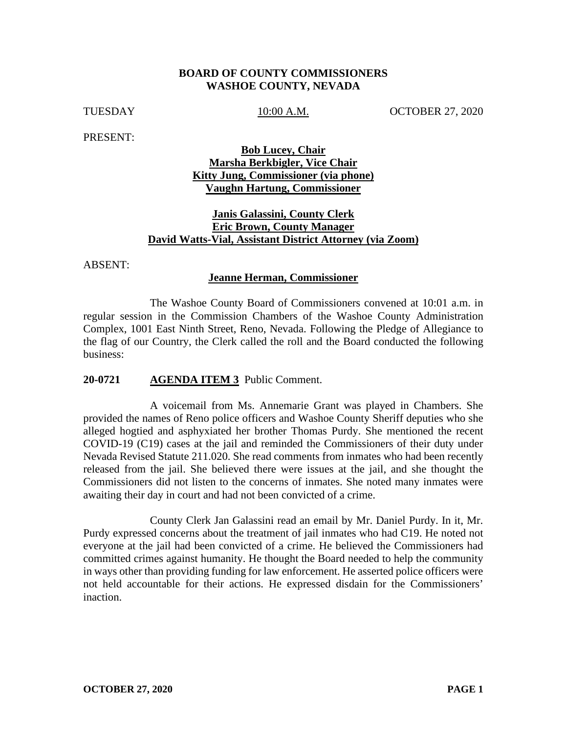#### **BOARD OF COUNTY COMMISSIONERS WASHOE COUNTY, NEVADA**

TUESDAY 10:00 A.M. OCTOBER 27, 2020

PRESENT:

## **Bob Lucey, Chair Marsha Berkbigler, Vice Chair Kitty Jung, Commissioner (via phone) Vaughn Hartung, Commissioner**

### **Janis Galassini, County Clerk Eric Brown, County Manager David Watts-Vial, Assistant District Attorney (via Zoom)**

ABSENT:

#### **Jeanne Herman, Commissioner**

The Washoe County Board of Commissioners convened at 10:01 a.m. in regular session in the Commission Chambers of the Washoe County Administration Complex, 1001 East Ninth Street, Reno, Nevada. Following the Pledge of Allegiance to the flag of our Country, the Clerk called the roll and the Board conducted the following business:

#### **20-0721 AGENDA ITEM 3** Public Comment.

A voicemail from Ms. Annemarie Grant was played in Chambers. She provided the names of Reno police officers and Washoe County Sheriff deputies who she alleged hogtied and asphyxiated her brother Thomas Purdy. She mentioned the recent COVID-19 (C19) cases at the jail and reminded the Commissioners of their duty under Nevada Revised Statute 211.020. She read comments from inmates who had been recently released from the jail. She believed there were issues at the jail, and she thought the Commissioners did not listen to the concerns of inmates. She noted many inmates were awaiting their day in court and had not been convicted of a crime.

County Clerk Jan Galassini read an email by Mr. Daniel Purdy. In it, Mr. Purdy expressed concerns about the treatment of jail inmates who had C19. He noted not everyone at the jail had been convicted of a crime. He believed the Commissioners had committed crimes against humanity. He thought the Board needed to help the community in ways other than providing funding for law enforcement. He asserted police officers were not held accountable for their actions. He expressed disdain for the Commissioners' inaction.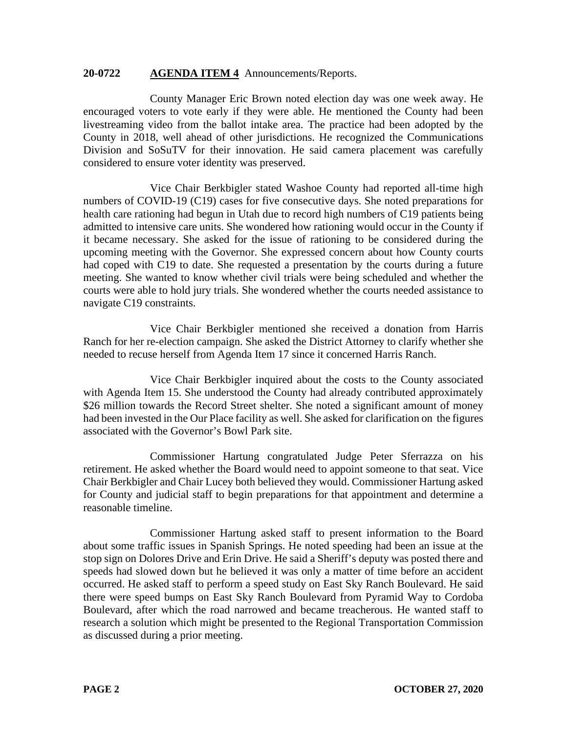#### **20-0722 AGENDA ITEM 4** Announcements/Reports.

County Manager Eric Brown noted election day was one week away. He encouraged voters to vote early if they were able. He mentioned the County had been livestreaming video from the ballot intake area. The practice had been adopted by the County in 2018, well ahead of other jurisdictions. He recognized the Communications Division and SoSuTV for their innovation. He said camera placement was carefully considered to ensure voter identity was preserved.

Vice Chair Berkbigler stated Washoe County had reported all-time high numbers of COVID-19 (C19) cases for five consecutive days. She noted preparations for health care rationing had begun in Utah due to record high numbers of C19 patients being admitted to intensive care units. She wondered how rationing would occur in the County if it became necessary. She asked for the issue of rationing to be considered during the upcoming meeting with the Governor. She expressed concern about how County courts had coped with C19 to date. She requested a presentation by the courts during a future meeting. She wanted to know whether civil trials were being scheduled and whether the courts were able to hold jury trials. She wondered whether the courts needed assistance to navigate C19 constraints.

Vice Chair Berkbigler mentioned she received a donation from Harris Ranch for her re-election campaign. She asked the District Attorney to clarify whether she needed to recuse herself from Agenda Item 17 since it concerned Harris Ranch.

Vice Chair Berkbigler inquired about the costs to the County associated with Agenda Item 15. She understood the County had already contributed approximately \$26 million towards the Record Street shelter. She noted a significant amount of money had been invested in the Our Place facility as well. She asked for clarification on the figures associated with the Governor's Bowl Park site.

Commissioner Hartung congratulated Judge Peter Sferrazza on his retirement. He asked whether the Board would need to appoint someone to that seat. Vice Chair Berkbigler and Chair Lucey both believed they would. Commissioner Hartung asked for County and judicial staff to begin preparations for that appointment and determine a reasonable timeline.

Commissioner Hartung asked staff to present information to the Board about some traffic issues in Spanish Springs. He noted speeding had been an issue at the stop sign on Dolores Drive and Erin Drive. He said a Sheriff's deputy was posted there and speeds had slowed down but he believed it was only a matter of time before an accident occurred. He asked staff to perform a speed study on East Sky Ranch Boulevard. He said there were speed bumps on East Sky Ranch Boulevard from Pyramid Way to Cordoba Boulevard, after which the road narrowed and became treacherous. He wanted staff to research a solution which might be presented to the Regional Transportation Commission as discussed during a prior meeting.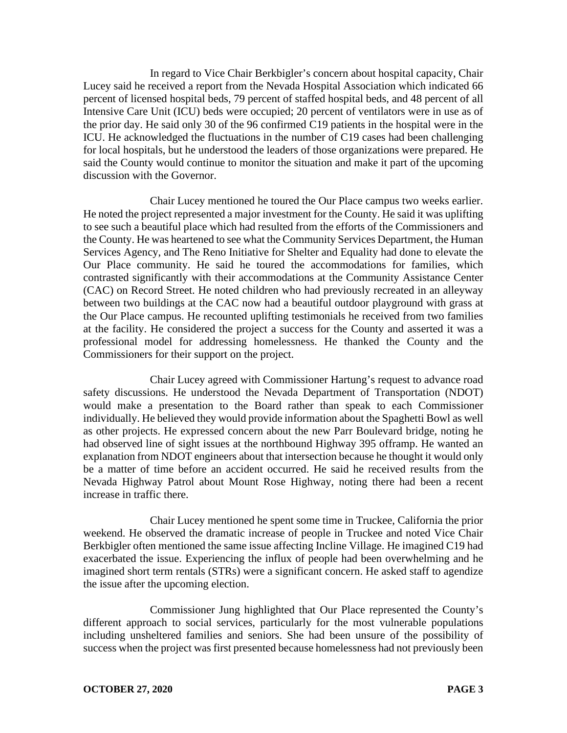In regard to Vice Chair Berkbigler's concern about hospital capacity, Chair Lucey said he received a report from the Nevada Hospital Association which indicated 66 percent of licensed hospital beds, 79 percent of staffed hospital beds, and 48 percent of all Intensive Care Unit (ICU) beds were occupied; 20 percent of ventilators were in use as of the prior day. He said only 30 of the 96 confirmed C19 patients in the hospital were in the ICU. He acknowledged the fluctuations in the number of C19 cases had been challenging for local hospitals, but he understood the leaders of those organizations were prepared. He said the County would continue to monitor the situation and make it part of the upcoming discussion with the Governor.

Chair Lucey mentioned he toured the Our Place campus two weeks earlier. He noted the project represented a major investment for the County. He said it was uplifting to see such a beautiful place which had resulted from the efforts of the Commissioners and the County. He was heartened to see what the Community Services Department, the Human Services Agency, and The Reno Initiative for Shelter and Equality had done to elevate the Our Place community. He said he toured the accommodations for families, which contrasted significantly with their accommodations at the Community Assistance Center (CAC) on Record Street. He noted children who had previously recreated in an alleyway between two buildings at the CAC now had a beautiful outdoor playground with grass at the Our Place campus. He recounted uplifting testimonials he received from two families at the facility. He considered the project a success for the County and asserted it was a professional model for addressing homelessness. He thanked the County and the Commissioners for their support on the project.

Chair Lucey agreed with Commissioner Hartung's request to advance road safety discussions. He understood the Nevada Department of Transportation (NDOT) would make a presentation to the Board rather than speak to each Commissioner individually. He believed they would provide information about the Spaghetti Bowl as well as other projects. He expressed concern about the new Parr Boulevard bridge, noting he had observed line of sight issues at the northbound Highway 395 offramp. He wanted an explanation from NDOT engineers about that intersection because he thought it would only be a matter of time before an accident occurred. He said he received results from the Nevada Highway Patrol about Mount Rose Highway, noting there had been a recent increase in traffic there.

Chair Lucey mentioned he spent some time in Truckee, California the prior weekend. He observed the dramatic increase of people in Truckee and noted Vice Chair Berkbigler often mentioned the same issue affecting Incline Village. He imagined C19 had exacerbated the issue. Experiencing the influx of people had been overwhelming and he imagined short term rentals (STRs) were a significant concern. He asked staff to agendize the issue after the upcoming election.

Commissioner Jung highlighted that Our Place represented the County's different approach to social services, particularly for the most vulnerable populations including unsheltered families and seniors. She had been unsure of the possibility of success when the project was first presented because homelessness had not previously been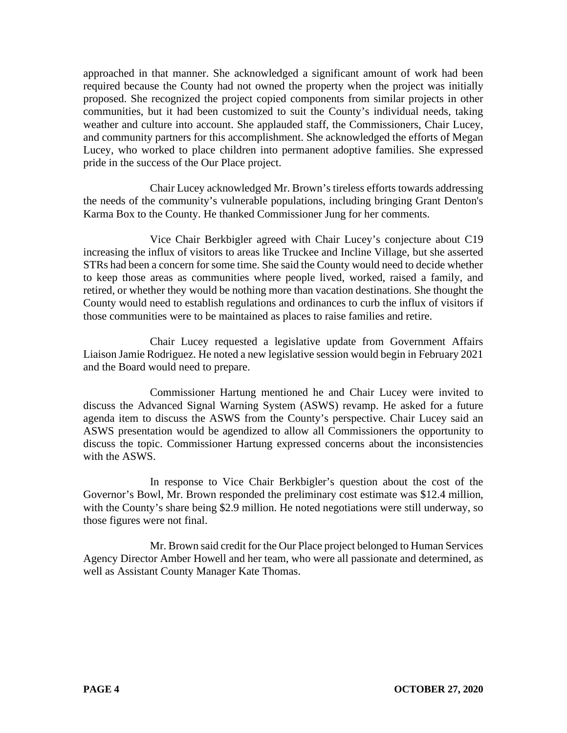approached in that manner. She acknowledged a significant amount of work had been required because the County had not owned the property when the project was initially proposed. She recognized the project copied components from similar projects in other communities, but it had been customized to suit the County's individual needs, taking weather and culture into account. She applauded staff, the Commissioners, Chair Lucey, and community partners for this accomplishment. She acknowledged the efforts of Megan Lucey, who worked to place children into permanent adoptive families. She expressed pride in the success of the Our Place project.

Chair Lucey acknowledged Mr. Brown's tireless efforts towards addressing the needs of the community's vulnerable populations, including bringing Grant Denton's Karma Box to the County. He thanked Commissioner Jung for her comments.

Vice Chair Berkbigler agreed with Chair Lucey's conjecture about C19 increasing the influx of visitors to areas like Truckee and Incline Village, but she asserted STRs had been a concern for some time. She said the County would need to decide whether to keep those areas as communities where people lived, worked, raised a family, and retired, or whether they would be nothing more than vacation destinations. She thought the County would need to establish regulations and ordinances to curb the influx of visitors if those communities were to be maintained as places to raise families and retire.

Chair Lucey requested a legislative update from Government Affairs Liaison Jamie Rodriguez. He noted a new legislative session would begin in February 2021 and the Board would need to prepare.

Commissioner Hartung mentioned he and Chair Lucey were invited to discuss the Advanced Signal Warning System (ASWS) revamp. He asked for a future agenda item to discuss the ASWS from the County's perspective. Chair Lucey said an ASWS presentation would be agendized to allow all Commissioners the opportunity to discuss the topic. Commissioner Hartung expressed concerns about the inconsistencies with the ASWS.

In response to Vice Chair Berkbigler's question about the cost of the Governor's Bowl, Mr. Brown responded the preliminary cost estimate was \$12.4 million, with the County's share being \$2.9 million. He noted negotiations were still underway, so those figures were not final.

Mr. Brown said credit for the Our Place project belonged to Human Services Agency Director Amber Howell and her team, who were all passionate and determined, as well as Assistant County Manager Kate Thomas.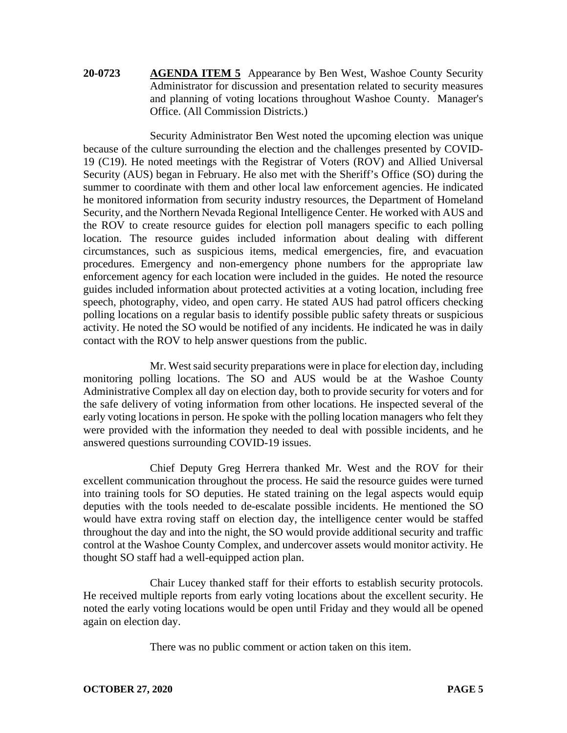## **20-0723 AGENDA ITEM 5** Appearance by Ben West, Washoe County Security Administrator for discussion and presentation related to security measures and planning of voting locations throughout Washoe County. Manager's Office. (All Commission Districts.)

Security Administrator Ben West noted the upcoming election was unique because of the culture surrounding the election and the challenges presented by COVID-19 (C19). He noted meetings with the Registrar of Voters (ROV) and Allied Universal Security (AUS) began in February. He also met with the Sheriff's Office (SO) during the summer to coordinate with them and other local law enforcement agencies. He indicated he monitored information from security industry resources, the Department of Homeland Security, and the Northern Nevada Regional Intelligence Center. He worked with AUS and the ROV to create resource guides for election poll managers specific to each polling location. The resource guides included information about dealing with different circumstances, such as suspicious items, medical emergencies, fire, and evacuation procedures. Emergency and non-emergency phone numbers for the appropriate law enforcement agency for each location were included in the guides. He noted the resource guides included information about protected activities at a voting location, including free speech, photography, video, and open carry. He stated AUS had patrol officers checking polling locations on a regular basis to identify possible public safety threats or suspicious activity. He noted the SO would be notified of any incidents. He indicated he was in daily contact with the ROV to help answer questions from the public.

Mr. West said security preparations were in place for election day, including monitoring polling locations. The SO and AUS would be at the Washoe County Administrative Complex all day on election day, both to provide security for voters and for the safe delivery of voting information from other locations. He inspected several of the early voting locations in person. He spoke with the polling location managers who felt they were provided with the information they needed to deal with possible incidents, and he answered questions surrounding COVID-19 issues.

Chief Deputy Greg Herrera thanked Mr. West and the ROV for their excellent communication throughout the process. He said the resource guides were turned into training tools for SO deputies. He stated training on the legal aspects would equip deputies with the tools needed to de-escalate possible incidents. He mentioned the SO would have extra roving staff on election day, the intelligence center would be staffed throughout the day and into the night, the SO would provide additional security and traffic control at the Washoe County Complex, and undercover assets would monitor activity. He thought SO staff had a well-equipped action plan.

Chair Lucey thanked staff for their efforts to establish security protocols. He received multiple reports from early voting locations about the excellent security. He noted the early voting locations would be open until Friday and they would all be opened again on election day.

There was no public comment or action taken on this item.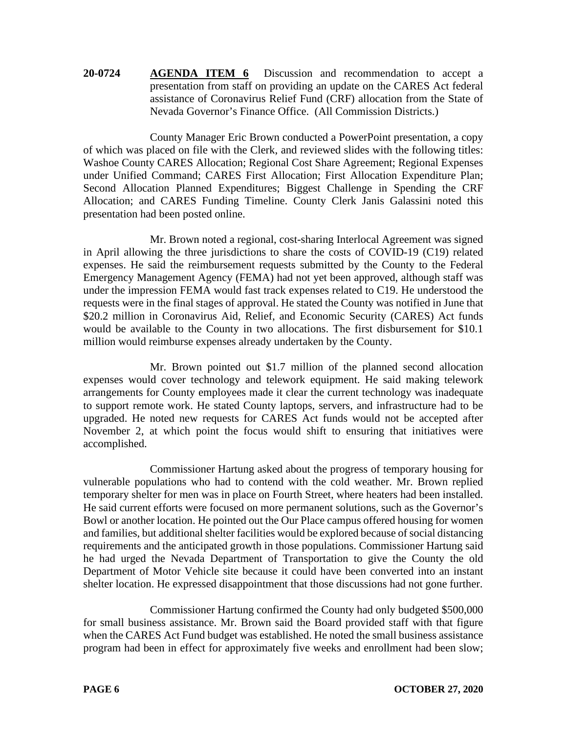**20-0724 AGENDA ITEM 6** Discussion and recommendation to accept a presentation from staff on providing an update on the CARES Act federal assistance of Coronavirus Relief Fund (CRF) allocation from the State of Nevada Governor's Finance Office. (All Commission Districts.)

County Manager Eric Brown conducted a PowerPoint presentation, a copy of which was placed on file with the Clerk, and reviewed slides with the following titles: Washoe County CARES Allocation; Regional Cost Share Agreement; Regional Expenses under Unified Command; CARES First Allocation; First Allocation Expenditure Plan; Second Allocation Planned Expenditures; Biggest Challenge in Spending the CRF Allocation; and CARES Funding Timeline. County Clerk Janis Galassini noted this presentation had been posted online.

Mr. Brown noted a regional, cost-sharing Interlocal Agreement was signed in April allowing the three jurisdictions to share the costs of COVID-19 (C19) related expenses. He said the reimbursement requests submitted by the County to the Federal Emergency Management Agency (FEMA) had not yet been approved, although staff was under the impression FEMA would fast track expenses related to C19. He understood the requests were in the final stages of approval. He stated the County was notified in June that \$20.2 million in Coronavirus Aid, Relief, and Economic Security (CARES) Act funds would be available to the County in two allocations. The first disbursement for \$10.1 million would reimburse expenses already undertaken by the County.

Mr. Brown pointed out \$1.7 million of the planned second allocation expenses would cover technology and telework equipment. He said making telework arrangements for County employees made it clear the current technology was inadequate to support remote work. He stated County laptops, servers, and infrastructure had to be upgraded. He noted new requests for CARES Act funds would not be accepted after November 2, at which point the focus would shift to ensuring that initiatives were accomplished.

Commissioner Hartung asked about the progress of temporary housing for vulnerable populations who had to contend with the cold weather. Mr. Brown replied temporary shelter for men was in place on Fourth Street, where heaters had been installed. He said current efforts were focused on more permanent solutions, such as the Governor's Bowl or another location. He pointed out the Our Place campus offered housing for women and families, but additional shelter facilities would be explored because of social distancing requirements and the anticipated growth in those populations. Commissioner Hartung said he had urged the Nevada Department of Transportation to give the County the old Department of Motor Vehicle site because it could have been converted into an instant shelter location. He expressed disappointment that those discussions had not gone further.

Commissioner Hartung confirmed the County had only budgeted \$500,000 for small business assistance. Mr. Brown said the Board provided staff with that figure when the CARES Act Fund budget was established. He noted the small business assistance program had been in effect for approximately five weeks and enrollment had been slow;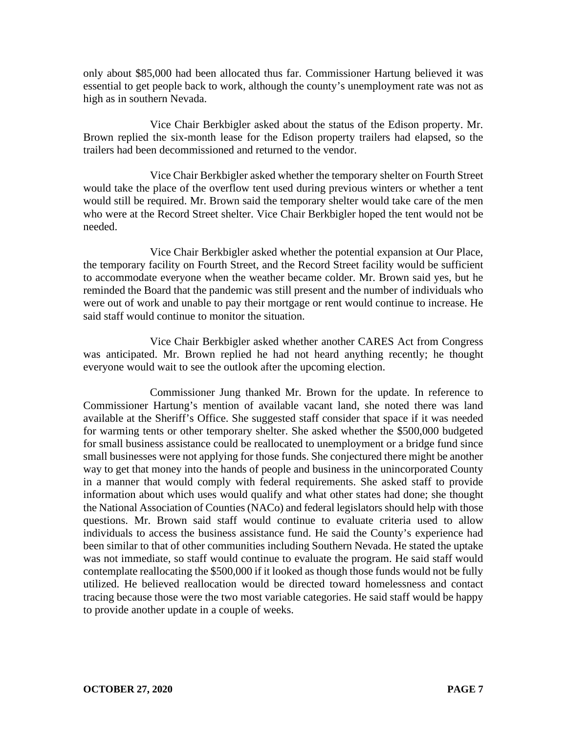only about \$85,000 had been allocated thus far. Commissioner Hartung believed it was essential to get people back to work, although the county's unemployment rate was not as high as in southern Nevada.

Vice Chair Berkbigler asked about the status of the Edison property. Mr. Brown replied the six-month lease for the Edison property trailers had elapsed, so the trailers had been decommissioned and returned to the vendor.

Vice Chair Berkbigler asked whether the temporary shelter on Fourth Street would take the place of the overflow tent used during previous winters or whether a tent would still be required. Mr. Brown said the temporary shelter would take care of the men who were at the Record Street shelter. Vice Chair Berkbigler hoped the tent would not be needed.

Vice Chair Berkbigler asked whether the potential expansion at Our Place, the temporary facility on Fourth Street, and the Record Street facility would be sufficient to accommodate everyone when the weather became colder. Mr. Brown said yes, but he reminded the Board that the pandemic was still present and the number of individuals who were out of work and unable to pay their mortgage or rent would continue to increase. He said staff would continue to monitor the situation.

Vice Chair Berkbigler asked whether another CARES Act from Congress was anticipated. Mr. Brown replied he had not heard anything recently; he thought everyone would wait to see the outlook after the upcoming election.

Commissioner Jung thanked Mr. Brown for the update. In reference to Commissioner Hartung's mention of available vacant land, she noted there was land available at the Sheriff's Office. She suggested staff consider that space if it was needed for warming tents or other temporary shelter. She asked whether the \$500,000 budgeted for small business assistance could be reallocated to unemployment or a bridge fund since small businesses were not applying for those funds. She conjectured there might be another way to get that money into the hands of people and business in the unincorporated County in a manner that would comply with federal requirements. She asked staff to provide information about which uses would qualify and what other states had done; she thought the National Association of Counties (NACo) and federal legislators should help with those questions. Mr. Brown said staff would continue to evaluate criteria used to allow individuals to access the business assistance fund. He said the County's experience had been similar to that of other communities including Southern Nevada. He stated the uptake was not immediate, so staff would continue to evaluate the program. He said staff would contemplate reallocating the \$500,000 if it looked as though those funds would not be fully utilized. He believed reallocation would be directed toward homelessness and contact tracing because those were the two most variable categories. He said staff would be happy to provide another update in a couple of weeks.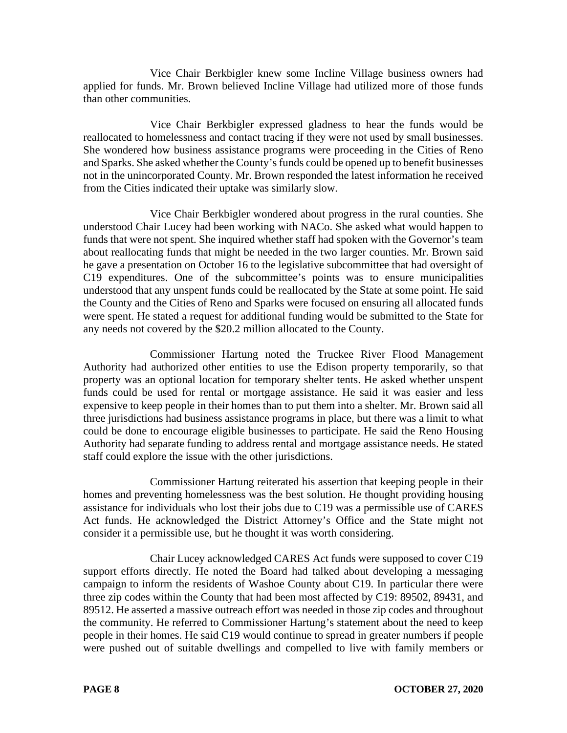Vice Chair Berkbigler knew some Incline Village business owners had applied for funds. Mr. Brown believed Incline Village had utilized more of those funds than other communities.

Vice Chair Berkbigler expressed gladness to hear the funds would be reallocated to homelessness and contact tracing if they were not used by small businesses. She wondered how business assistance programs were proceeding in the Cities of Reno and Sparks. She asked whether the County's funds could be opened up to benefit businesses not in the unincorporated County. Mr. Brown responded the latest information he received from the Cities indicated their uptake was similarly slow.

Vice Chair Berkbigler wondered about progress in the rural counties. She understood Chair Lucey had been working with NACo. She asked what would happen to funds that were not spent. She inquired whether staff had spoken with the Governor's team about reallocating funds that might be needed in the two larger counties. Mr. Brown said he gave a presentation on October 16 to the legislative subcommittee that had oversight of C19 expenditures. One of the subcommittee's points was to ensure municipalities understood that any unspent funds could be reallocated by the State at some point. He said the County and the Cities of Reno and Sparks were focused on ensuring all allocated funds were spent. He stated a request for additional funding would be submitted to the State for any needs not covered by the \$20.2 million allocated to the County.

Commissioner Hartung noted the Truckee River Flood Management Authority had authorized other entities to use the Edison property temporarily, so that property was an optional location for temporary shelter tents. He asked whether unspent funds could be used for rental or mortgage assistance. He said it was easier and less expensive to keep people in their homes than to put them into a shelter. Mr. Brown said all three jurisdictions had business assistance programs in place, but there was a limit to what could be done to encourage eligible businesses to participate. He said the Reno Housing Authority had separate funding to address rental and mortgage assistance needs. He stated staff could explore the issue with the other jurisdictions.

Commissioner Hartung reiterated his assertion that keeping people in their homes and preventing homelessness was the best solution. He thought providing housing assistance for individuals who lost their jobs due to C19 was a permissible use of CARES Act funds. He acknowledged the District Attorney's Office and the State might not consider it a permissible use, but he thought it was worth considering.

Chair Lucey acknowledged CARES Act funds were supposed to cover C19 support efforts directly. He noted the Board had talked about developing a messaging campaign to inform the residents of Washoe County about C19. In particular there were three zip codes within the County that had been most affected by C19: 89502, 89431, and 89512. He asserted a massive outreach effort was needed in those zip codes and throughout the community. He referred to Commissioner Hartung's statement about the need to keep people in their homes. He said C19 would continue to spread in greater numbers if people were pushed out of suitable dwellings and compelled to live with family members or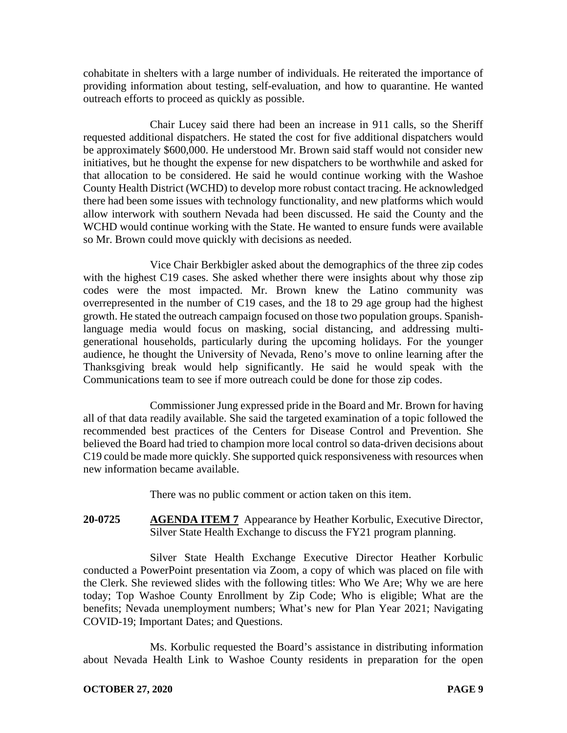cohabitate in shelters with a large number of individuals. He reiterated the importance of providing information about testing, self-evaluation, and how to quarantine. He wanted outreach efforts to proceed as quickly as possible.

Chair Lucey said there had been an increase in 911 calls, so the Sheriff requested additional dispatchers. He stated the cost for five additional dispatchers would be approximately \$600,000. He understood Mr. Brown said staff would not consider new initiatives, but he thought the expense for new dispatchers to be worthwhile and asked for that allocation to be considered. He said he would continue working with the Washoe County Health District (WCHD) to develop more robust contact tracing. He acknowledged there had been some issues with technology functionality, and new platforms which would allow interwork with southern Nevada had been discussed. He said the County and the WCHD would continue working with the State. He wanted to ensure funds were available so Mr. Brown could move quickly with decisions as needed.

Vice Chair Berkbigler asked about the demographics of the three zip codes with the highest C19 cases. She asked whether there were insights about why those zip codes were the most impacted. Mr. Brown knew the Latino community was overrepresented in the number of C19 cases, and the 18 to 29 age group had the highest growth. He stated the outreach campaign focused on those two population groups. Spanishlanguage media would focus on masking, social distancing, and addressing multigenerational households, particularly during the upcoming holidays. For the younger audience, he thought the University of Nevada, Reno's move to online learning after the Thanksgiving break would help significantly. He said he would speak with the Communications team to see if more outreach could be done for those zip codes.

Commissioner Jung expressed pride in the Board and Mr. Brown for having all of that data readily available. She said the targeted examination of a topic followed the recommended best practices of the Centers for Disease Control and Prevention. She believed the Board had tried to champion more local control so data-driven decisions about C19 could be made more quickly. She supported quick responsiveness with resources when new information became available.

There was no public comment or action taken on this item.

**20-0725 AGENDA ITEM 7** Appearance by Heather Korbulic, Executive Director, Silver State Health Exchange to discuss the FY21 program planning.

Silver State Health Exchange Executive Director Heather Korbulic conducted a PowerPoint presentation via Zoom, a copy of which was placed on file with the Clerk. She reviewed slides with the following titles: Who We Are; Why we are here today; Top Washoe County Enrollment by Zip Code; Who is eligible; What are the benefits; Nevada unemployment numbers; What's new for Plan Year 2021; Navigating COVID-19; Important Dates; and Questions.

Ms. Korbulic requested the Board's assistance in distributing information about Nevada Health Link to Washoe County residents in preparation for the open

### **OCTOBER 27, 2020 PAGE 9**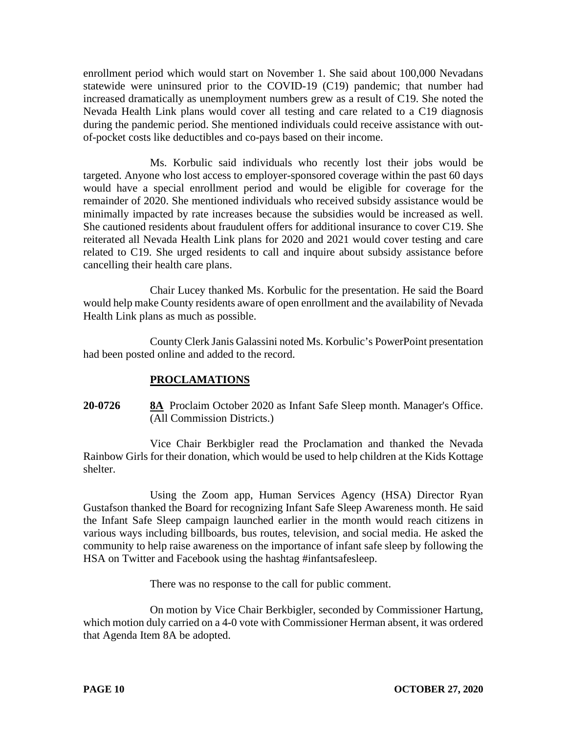enrollment period which would start on November 1. She said about 100,000 Nevadans statewide were uninsured prior to the COVID-19 (C19) pandemic; that number had increased dramatically as unemployment numbers grew as a result of C19. She noted the Nevada Health Link plans would cover all testing and care related to a C19 diagnosis during the pandemic period. She mentioned individuals could receive assistance with outof-pocket costs like deductibles and co-pays based on their income.

Ms. Korbulic said individuals who recently lost their jobs would be targeted. Anyone who lost access to employer-sponsored coverage within the past 60 days would have a special enrollment period and would be eligible for coverage for the remainder of 2020. She mentioned individuals who received subsidy assistance would be minimally impacted by rate increases because the subsidies would be increased as well. She cautioned residents about fraudulent offers for additional insurance to cover C19. She reiterated all Nevada Health Link plans for 2020 and 2021 would cover testing and care related to C19. She urged residents to call and inquire about subsidy assistance before cancelling their health care plans.

Chair Lucey thanked Ms. Korbulic for the presentation. He said the Board would help make County residents aware of open enrollment and the availability of Nevada Health Link plans as much as possible.

County Clerk Janis Galassini noted Ms. Korbulic's PowerPoint presentation had been posted online and added to the record.

### **PROCLAMATIONS**

# **20-0726 8A** Proclaim October 2020 as Infant Safe Sleep month. Manager's Office. (All Commission Districts.)

Vice Chair Berkbigler read the Proclamation and thanked the Nevada Rainbow Girls for their donation, which would be used to help children at the Kids Kottage shelter.

Using the Zoom app, Human Services Agency (HSA) Director Ryan Gustafson thanked the Board for recognizing Infant Safe Sleep Awareness month. He said the Infant Safe Sleep campaign launched earlier in the month would reach citizens in various ways including billboards, bus routes, television, and social media. He asked the community to help raise awareness on the importance of infant safe sleep by following the HSA on Twitter and Facebook using the hashtag #infantsafesleep.

There was no response to the call for public comment.

On motion by Vice Chair Berkbigler, seconded by Commissioner Hartung, which motion duly carried on a 4-0 vote with Commissioner Herman absent, it was ordered that Agenda Item 8A be adopted.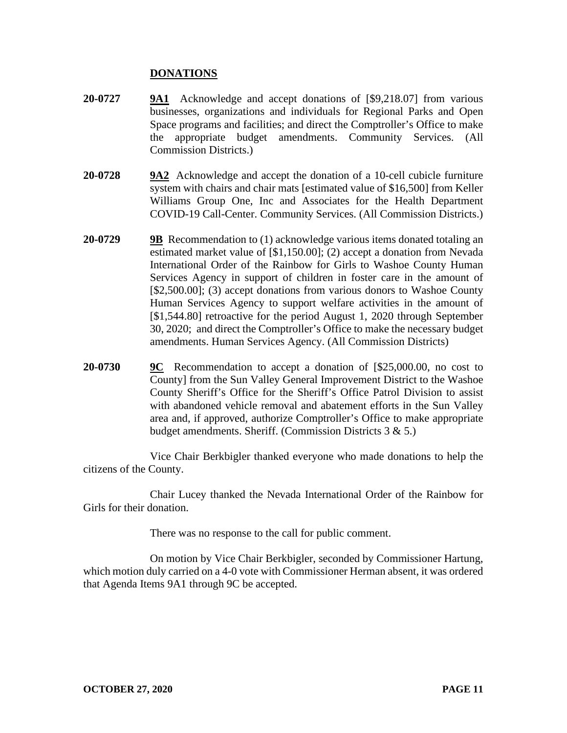### **DONATIONS**

- **20-0727 9A1** Acknowledge and accept donations of [\$9,218.07] from various businesses, organizations and individuals for Regional Parks and Open Space programs and facilities; and direct the Comptroller's Office to make the appropriate budget amendments. Community Services. (All Commission Districts.)
- **20-0728 9A2** Acknowledge and accept the donation of a 10-cell cubicle furniture system with chairs and chair mats [estimated value of \$16,500] from Keller Williams Group One, Inc and Associates for the Health Department COVID-19 Call-Center. Community Services. (All Commission Districts.)
- **20-0729 9B** Recommendation to (1) acknowledge various items donated totaling an estimated market value of [\$1,150.00]; (2) accept a donation from Nevada International Order of the Rainbow for Girls to Washoe County Human Services Agency in support of children in foster care in the amount of [\$2,500.00]; (3) accept donations from various donors to Washoe County Human Services Agency to support welfare activities in the amount of [\$1,544.80] retroactive for the period August 1, 2020 through September 30, 2020; and direct the Comptroller's Office to make the necessary budget amendments. Human Services Agency. (All Commission Districts)
- **20-0730 9C** Recommendation to accept a donation of [\$25,000.00, no cost to County] from the Sun Valley General Improvement District to the Washoe County Sheriff's Office for the Sheriff's Office Patrol Division to assist with abandoned vehicle removal and abatement efforts in the Sun Valley area and, if approved, authorize Comptroller's Office to make appropriate budget amendments. Sheriff. (Commission Districts 3 & 5.)

Vice Chair Berkbigler thanked everyone who made donations to help the citizens of the County.

Chair Lucey thanked the Nevada International Order of the Rainbow for Girls for their donation.

There was no response to the call for public comment.

On motion by Vice Chair Berkbigler, seconded by Commissioner Hartung, which motion duly carried on a 4-0 vote with Commissioner Herman absent, it was ordered that Agenda Items 9A1 through 9C be accepted.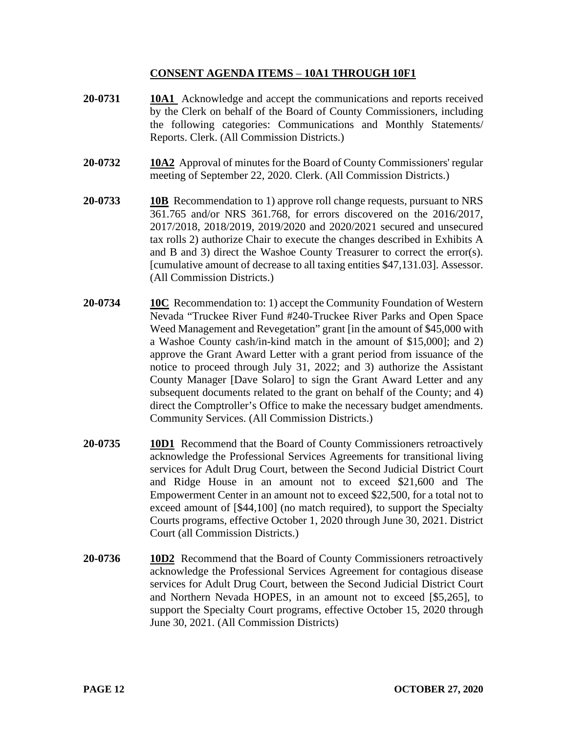## **CONSENT AGENDA ITEMS** – **10A1 THROUGH 10F1**

- **20-0731 10A1** Acknowledge and accept the communications and reports received by the Clerk on behalf of the Board of County Commissioners, including the following categories: Communications and Monthly Statements/ Reports. Clerk. (All Commission Districts.)
- **20-0732 10A2** Approval of minutes for the Board of County Commissioners' regular meeting of September 22, 2020. Clerk. (All Commission Districts.)
- **20-0733 10B** Recommendation to 1) approve roll change requests, pursuant to NRS 361.765 and/or NRS 361.768, for errors discovered on the 2016/2017, 2017/2018, 2018/2019, 2019/2020 and 2020/2021 secured and unsecured tax rolls 2) authorize Chair to execute the changes described in Exhibits A and B and 3) direct the Washoe County Treasurer to correct the error(s). [cumulative amount of decrease to all taxing entities \$47,131.03]. Assessor. (All Commission Districts.)
- **20-0734 10C** Recommendation to: 1) accept the Community Foundation of Western Nevada "Truckee River Fund #240-Truckee River Parks and Open Space Weed Management and Revegetation" grant [in the amount of \$45,000 with a Washoe County cash/in-kind match in the amount of \$15,000]; and 2) approve the Grant Award Letter with a grant period from issuance of the notice to proceed through July 31, 2022; and 3) authorize the Assistant County Manager [Dave Solaro] to sign the Grant Award Letter and any subsequent documents related to the grant on behalf of the County; and 4) direct the Comptroller's Office to make the necessary budget amendments. Community Services. (All Commission Districts.)
- **20-0735 10D1** Recommend that the Board of County Commissioners retroactively acknowledge the Professional Services Agreements for transitional living services for Adult Drug Court, between the Second Judicial District Court and Ridge House in an amount not to exceed \$21,600 and The Empowerment Center in an amount not to exceed \$22,500, for a total not to exceed amount of [\$44,100] (no match required), to support the Specialty Courts programs, effective October 1, 2020 through June 30, 2021. District Court (all Commission Districts.)
- **20-0736 10D2** Recommend that the Board of County Commissioners retroactively acknowledge the Professional Services Agreement for contagious disease services for Adult Drug Court, between the Second Judicial District Court and Northern Nevada HOPES, in an amount not to exceed [\$5,265], to support the Specialty Court programs, effective October 15, 2020 through June 30, 2021. (All Commission Districts)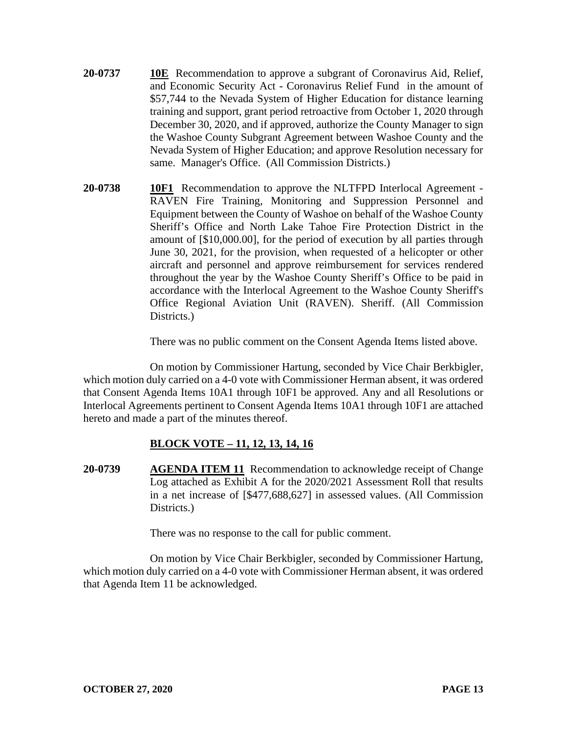- **20-0737 10E** Recommendation to approve a subgrant of Coronavirus Aid, Relief, and Economic Security Act - Coronavirus Relief Fund in the amount of \$57,744 to the Nevada System of Higher Education for distance learning training and support, grant period retroactive from October 1, 2020 through December 30, 2020, and if approved, authorize the County Manager to sign the Washoe County Subgrant Agreement between Washoe County and the Nevada System of Higher Education; and approve Resolution necessary for same. Manager's Office. (All Commission Districts.)
- **20-0738 10F1** Recommendation to approve the NLTFPD Interlocal Agreement RAVEN Fire Training, Monitoring and Suppression Personnel and Equipment between the County of Washoe on behalf of the Washoe County Sheriff's Office and North Lake Tahoe Fire Protection District in the amount of [\$10,000.00], for the period of execution by all parties through June 30, 2021, for the provision, when requested of a helicopter or other aircraft and personnel and approve reimbursement for services rendered throughout the year by the Washoe County Sheriff's Office to be paid in accordance with the Interlocal Agreement to the Washoe County Sheriff's Office Regional Aviation Unit (RAVEN). Sheriff. (All Commission Districts.)

There was no public comment on the Consent Agenda Items listed above.

On motion by Commissioner Hartung, seconded by Vice Chair Berkbigler, which motion duly carried on a 4-0 vote with Commissioner Herman absent, it was ordered that Consent Agenda Items 10A1 through 10F1 be approved. Any and all Resolutions or Interlocal Agreements pertinent to Consent Agenda Items 10A1 through 10F1 are attached hereto and made a part of the minutes thereof.

# **BLOCK VOTE – 11, 12, 13, 14, 16**

**20-0739 AGENDA ITEM 11** Recommendation to acknowledge receipt of Change Log attached as Exhibit A for the 2020/2021 Assessment Roll that results in a net increase of [\$477,688,627] in assessed values. (All Commission Districts.)

There was no response to the call for public comment.

On motion by Vice Chair Berkbigler, seconded by Commissioner Hartung, which motion duly carried on a 4-0 vote with Commissioner Herman absent, it was ordered that Agenda Item 11 be acknowledged.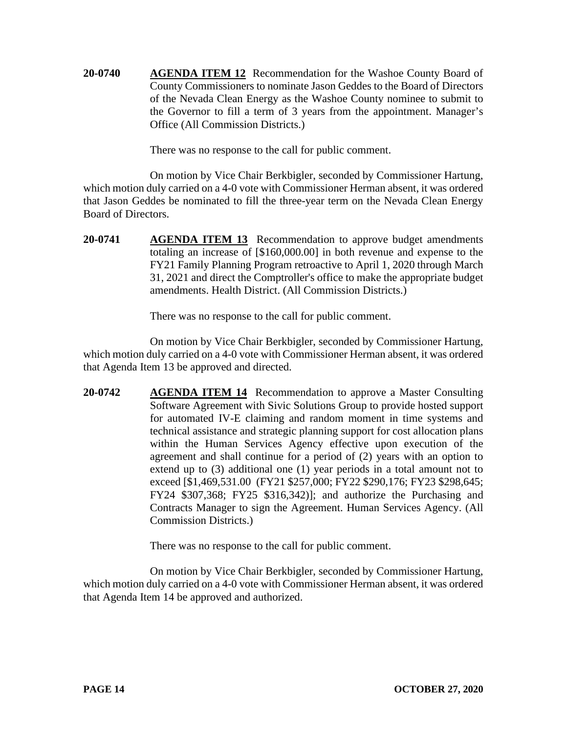**20-0740 AGENDA ITEM 12** Recommendation for the Washoe County Board of County Commissioners to nominate Jason Geddes to the Board of Directors of the Nevada Clean Energy as the Washoe County nominee to submit to the Governor to fill a term of 3 years from the appointment. Manager's Office (All Commission Districts.)

There was no response to the call for public comment.

On motion by Vice Chair Berkbigler, seconded by Commissioner Hartung, which motion duly carried on a 4-0 vote with Commissioner Herman absent, it was ordered that Jason Geddes be nominated to fill the three-year term on the Nevada Clean Energy Board of Directors.

**20-0741 AGENDA ITEM 13** Recommendation to approve budget amendments totaling an increase of [\$160,000.00] in both revenue and expense to the FY21 Family Planning Program retroactive to April 1, 2020 through March 31, 2021 and direct the Comptroller's office to make the appropriate budget amendments. Health District. (All Commission Districts.)

There was no response to the call for public comment.

On motion by Vice Chair Berkbigler, seconded by Commissioner Hartung, which motion duly carried on a 4-0 vote with Commissioner Herman absent, it was ordered that Agenda Item 13 be approved and directed.

**20-0742 AGENDA ITEM 14** Recommendation to approve a Master Consulting Software Agreement with Sivic Solutions Group to provide hosted support for automated IV-E claiming and random moment in time systems and technical assistance and strategic planning support for cost allocation plans within the Human Services Agency effective upon execution of the agreement and shall continue for a period of (2) years with an option to extend up to (3) additional one (1) year periods in a total amount not to exceed [\$1,469,531.00 (FY21 \$257,000; FY22 \$290,176; FY23 \$298,645; FY24 \$307,368; FY25 \$316,342)]; and authorize the Purchasing and Contracts Manager to sign the Agreement. Human Services Agency. (All Commission Districts.)

There was no response to the call for public comment.

On motion by Vice Chair Berkbigler, seconded by Commissioner Hartung, which motion duly carried on a 4-0 vote with Commissioner Herman absent, it was ordered that Agenda Item 14 be approved and authorized.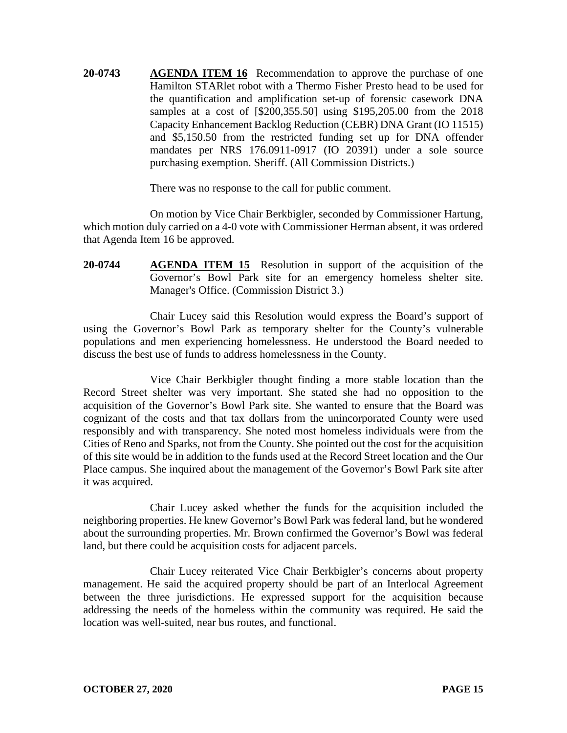**20-0743 AGENDA ITEM 16** Recommendation to approve the purchase of one Hamilton STARlet robot with a Thermo Fisher Presto head to be used for the quantification and amplification set-up of forensic casework DNA samples at a cost of [\$200,355.50] using \$195,205.00 from the 2018 Capacity Enhancement Backlog Reduction (CEBR) DNA Grant (IO 11515) and \$5,150.50 from the restricted funding set up for DNA offender mandates per NRS 176.0911-0917 (IO 20391) under a sole source purchasing exemption. Sheriff. (All Commission Districts.)

There was no response to the call for public comment.

On motion by Vice Chair Berkbigler, seconded by Commissioner Hartung, which motion duly carried on a 4-0 vote with Commissioner Herman absent, it was ordered that Agenda Item 16 be approved.

**20-0744 AGENDA ITEM 15** Resolution in support of the acquisition of the Governor's Bowl Park site for an emergency homeless shelter site. Manager's Office. (Commission District 3.)

Chair Lucey said this Resolution would express the Board's support of using the Governor's Bowl Park as temporary shelter for the County's vulnerable populations and men experiencing homelessness. He understood the Board needed to discuss the best use of funds to address homelessness in the County.

Vice Chair Berkbigler thought finding a more stable location than the Record Street shelter was very important. She stated she had no opposition to the acquisition of the Governor's Bowl Park site. She wanted to ensure that the Board was cognizant of the costs and that tax dollars from the unincorporated County were used responsibly and with transparency. She noted most homeless individuals were from the Cities of Reno and Sparks, not from the County. She pointed out the cost for the acquisition of this site would be in addition to the funds used at the Record Street location and the Our Place campus. She inquired about the management of the Governor's Bowl Park site after it was acquired.

Chair Lucey asked whether the funds for the acquisition included the neighboring properties. He knew Governor's Bowl Park was federal land, but he wondered about the surrounding properties. Mr. Brown confirmed the Governor's Bowl was federal land, but there could be acquisition costs for adjacent parcels.

Chair Lucey reiterated Vice Chair Berkbigler's concerns about property management. He said the acquired property should be part of an Interlocal Agreement between the three jurisdictions. He expressed support for the acquisition because addressing the needs of the homeless within the community was required. He said the location was well-suited, near bus routes, and functional.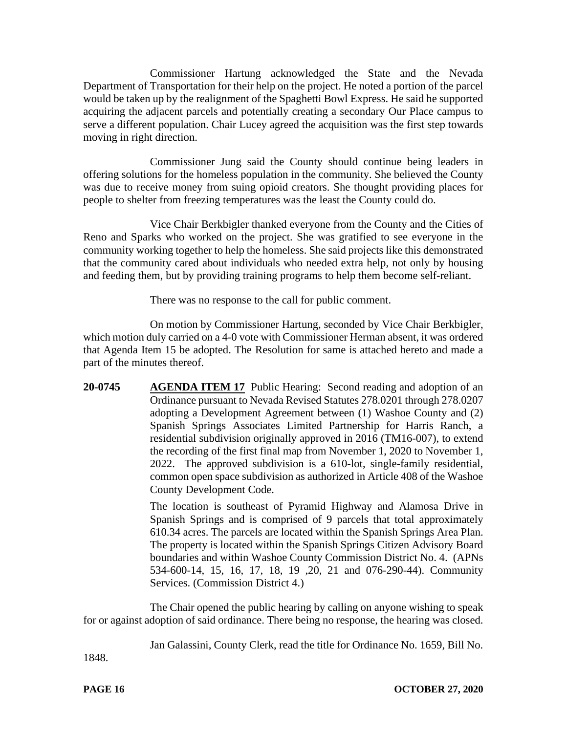Commissioner Hartung acknowledged the State and the Nevada Department of Transportation for their help on the project. He noted a portion of the parcel would be taken up by the realignment of the Spaghetti Bowl Express. He said he supported acquiring the adjacent parcels and potentially creating a secondary Our Place campus to serve a different population. Chair Lucey agreed the acquisition was the first step towards moving in right direction.

Commissioner Jung said the County should continue being leaders in offering solutions for the homeless population in the community. She believed the County was due to receive money from suing opioid creators. She thought providing places for people to shelter from freezing temperatures was the least the County could do.

Vice Chair Berkbigler thanked everyone from the County and the Cities of Reno and Sparks who worked on the project. She was gratified to see everyone in the community working together to help the homeless. She said projects like this demonstrated that the community cared about individuals who needed extra help, not only by housing and feeding them, but by providing training programs to help them become self-reliant.

There was no response to the call for public comment.

On motion by Commissioner Hartung, seconded by Vice Chair Berkbigler, which motion duly carried on a 4-0 vote with Commissioner Herman absent, it was ordered that Agenda Item 15 be adopted. The Resolution for same is attached hereto and made a part of the minutes thereof.

**20-0745 AGENDA ITEM 17** Public Hearing: Second reading and adoption of an Ordinance pursuant to Nevada Revised Statutes 278.0201 through 278.0207 adopting a Development Agreement between (1) Washoe County and (2) Spanish Springs Associates Limited Partnership for Harris Ranch, a residential subdivision originally approved in 2016 (TM16-007), to extend the recording of the first final map from November 1, 2020 to November 1, 2022. The approved subdivision is a 610-lot, single-family residential, common open space subdivision as authorized in Article 408 of the Washoe County Development Code.

> The location is southeast of Pyramid Highway and Alamosa Drive in Spanish Springs and is comprised of 9 parcels that total approximately 610.34 acres. The parcels are located within the Spanish Springs Area Plan. The property is located within the Spanish Springs Citizen Advisory Board boundaries and within Washoe County Commission District No. 4. (APNs 534-600-14, 15, 16, 17, 18, 19 ,20, 21 and 076-290-44). Community Services. (Commission District 4.)

The Chair opened the public hearing by calling on anyone wishing to speak for or against adoption of said ordinance. There being no response, the hearing was closed.

Jan Galassini, County Clerk, read the title for Ordinance No. 1659, Bill No.

1848.